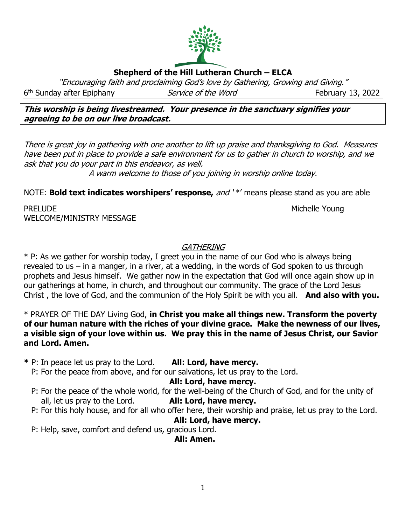# **Shepherd of the Hill Lutheran Church – ELCA**

"Encouraging faith and proclaiming God's love by Gathering, Growing and Giving."

6<sup>th</sup> Sunday after Epiphany *Service of the Word* February 13, 2022

**This worship is being livestreamed. Your presence in the sanctuary signifies your agreeing to be on our live broadcast.** 

There is great joy in gathering with one another to lift up praise and thanksgiving to God. Measures have been put in place to provide a safe environment for us to gather in church to worship, and we ask that you do your part in this endeavor, as well.

A warm welcome to those of you joining in worship online today.

NOTE: **Bold text indicates worshipers' response,** and '\*' means please stand as you are able

PRELUDE NOUNE ALL AND THE MICHELE YOUNG THE MICHELE YOUNG WELCOME/MINISTRY MESSAGE

## **GATHERING**

\* P: As we gather for worship today, I greet you in the name of our God who is always being revealed to us – in a manger, in a river, at a wedding, in the words of God spoken to us through prophets and Jesus himself. We gather now in the expectation that God will once again show up in our gatherings at home, in church, and throughout our community. The grace of the Lord Jesus Christ , the love of God, and the communion of the Holy Spirit be with you all. **And also with you.**

\* PRAYER OF THE DAY Living God, **in Christ you make all things new. Transform the poverty of our human nature with the riches of your divine grace. Make the newness of our lives, a visible sign of your love within us. We pray this in the name of Jesus Christ, our Savior and Lord. Amen.**

**\*** P: In peace let us pray to the Lord. **All: Lord, have mercy.**

P: For the peace from above, and for our salvations, let us pray to the Lord.

#### **All: Lord, have mercy.**

- P: For the peace of the whole world, for the well-being of the Church of God, and for the unity of all, let us pray to the Lord. **All: Lord, have mercy.**
- P: For this holy house, and for all who offer here, their worship and praise, let us pray to the Lord.

### **All: Lord, have mercy.**

P: Help, save, comfort and defend us, gracious Lord.

**All: Amen.**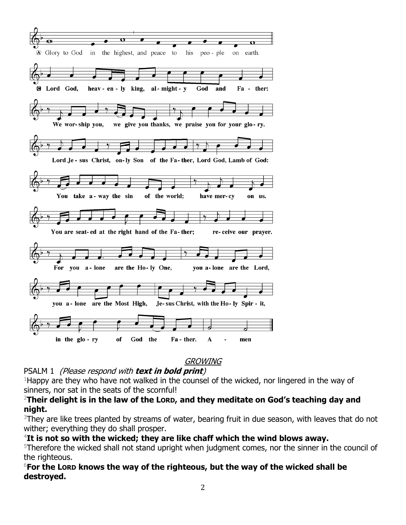

## GROWING

PSALM 1 (Please respond with **text in bold print**)

 $1$ Happy are they who have not walked in the counsel of the wicked, nor lingered in the way of sinners, nor sat in the seats of the scornful!

### <sup>2</sup>**Their delight is in the law of the LORD, and they meditate on God's teaching day and night.**

<sup>3</sup>They are like trees planted by streams of water, bearing fruit in due season, with leaves that do not wither; everything they do shall prosper.

## <sup>4</sup>**It is not so with the wicked; they are like chaff which the wind blows away.**

<sup>5</sup>Therefore the wicked shall not stand upright when judgment comes, nor the sinner in the council of the righteous.

### <sup>6</sup>**For the LORD knows the way of the righteous, but the way of the wicked shall be destroyed.**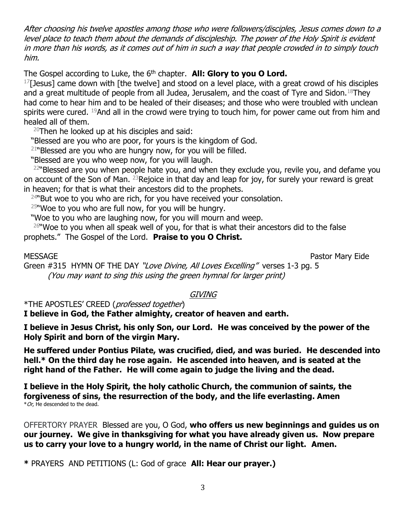After choosing his twelve apostles among those who were followers/disciples, Jesus comes down to a level place to teach them about the demands of discipleship. The power of the Holy Spirit is evident in more than his words, as it comes out of him in such a way that people crowded in to simply touch him.

The Gospel according to Luke, the 6<sup>th</sup> chapter. **All: Glory to you O Lord.** 

 $^{17}$ [Jesus] came down with [the twelve] and stood on a level place, with a great crowd of his disciples and a great multitude of people from all Judea, Jerusalem, and the coast of Tyre and Sidon.<sup>18</sup>They had come to hear him and to be healed of their diseases; and those who were troubled with unclean spirits were cured. <sup>19</sup>And all in the crowd were trying to touch him, for power came out from him and healed all of them.

 $20$ Then he looked up at his disciples and said:

"Blessed are you who are poor, for yours is the kingdom of God.

 $21$ "Blessed are you who are hungry now, for you will be filled.

"Blessed are you who weep now, for you will laugh.

 $22$ "Blessed are you when people hate you, and when they exclude you, revile you, and defame you on account of the Son of Man. <sup>23</sup>Rejoice in that day and leap for joy, for surely your reward is great in heaven; for that is what their ancestors did to the prophets.

 $24$ "But woe to you who are rich, for you have received your consolation.

 $25$ "Woe to you who are full now, for you will be hungry.

"Woe to you who are laughing now, for you will mourn and weep.

 $26$ "Woe to you when all speak well of you, for that is what their ancestors did to the false prophets." The Gospel of the Lord. **Praise to you O Christ.**

MESSAGE Pastor Mary Eide

Green #315 HYMN OF THE DAY "Love Divine, All Loves Excelling" verses 1-3 pg. 5 (You may want to sing this using the green hymnal for larger print)

## GIVING

\*THE APOSTLES' CREED (professed together)

**I believe in God, the Father almighty, creator of heaven and earth.**

**I believe in Jesus Christ, his only Son, our Lord. He was conceived by the power of the Holy Spirit and born of the virgin Mary.**

**He suffered under Pontius Pilate, was crucified, died, and was buried. He descended into hell.\* On the third day he rose again. He ascended into heaven, and is seated at the right hand of the Father. He will come again to judge the living and the dead.**

**I believe in the Holy Spirit, the holy catholic Church, the communion of saints, the forgiveness of sins, the resurrection of the body, and the life everlasting. Amen**  $*$  Or, He descended to the dead.

OFFERTORY PRAYER Blessed are you, O God, **who offers us new beginnings and guides us on our journey. We give in thanksgiving for what you have already given us. Now prepare us to carry your love to a hungry world, in the name of Christ our light. Amen.**

**\*** PRAYERS AND PETITIONS (L: God of grace **All: Hear our prayer.)**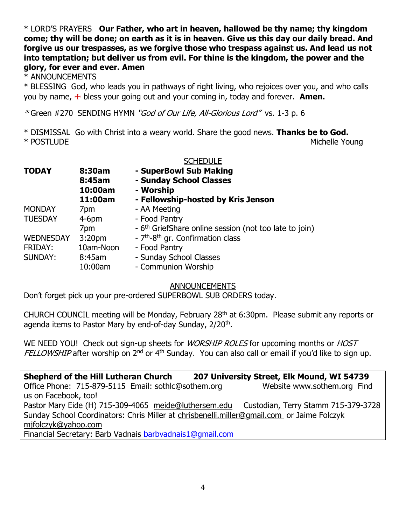\* LORD'S PRAYERS **Our Father, who art in heaven, hallowed be thy name; thy kingdom come; thy will be done; on earth as it is in heaven. Give us this day our daily bread. And forgive us our trespasses, as we forgive those who trespass against us. And lead us not into temptation; but deliver us from evil. For thine is the kingdom, the power and the glory, for ever and ever. Amen**

\* ANNOUNCEMENTS

\* BLESSING God, who leads you in pathways of right living, who rejoices over you, and who calls you by name, ☩ bless your going out and your coming in, today and forever. **Amen.**

\* Green #270SENDING HYMN "God of Our Life, All-Glorious Lord" vs. 1-3 p. 6

\* DISMISSAL Go with Christ into a weary world. Share the good news. **Thanks be to God.** \* POSTLUDE Michelle Young

|                  |                    | <b>SCHEDULE</b>                                                    |
|------------------|--------------------|--------------------------------------------------------------------|
| <b>TODAY</b>     | 8:30am             | - SuperBowl Sub Making                                             |
|                  | 8:45am             | - Sunday School Classes                                            |
|                  | 10:00am            | - Worship                                                          |
|                  | 11:00am            | - Fellowship-hosted by Kris Jenson                                 |
| <b>MONDAY</b>    | 7pm                | - AA Meeting                                                       |
| <b>TUESDAY</b>   | $4-6pm$            | - Food Pantry                                                      |
|                  | 7pm                | - 6 <sup>th</sup> GriefShare online session (not too late to join) |
| <b>WEDNESDAY</b> | 3:20 <sub>pm</sub> | - 7 <sup>th</sup> -8 <sup>th</sup> gr. Confirmation class          |
| <b>FRIDAY:</b>   | 10am-Noon          | - Food Pantry                                                      |
| SUNDAY:          | 8:45am             | - Sunday School Classes                                            |
|                  | 10:00am            | - Communion Worship                                                |

ANNOUNCEMENTS

Don't forget pick up your pre-ordered SUPERBOWL SUB ORDERS today.

CHURCH COUNCIL meeting will be Monday, February 28th at 6:30pm. Please submit any reports or agenda items to Pastor Mary by end-of-day Sunday, 2/20<sup>th</sup>.

WE NEED YOU! Check out sign-up sheets for *WORSHIP ROLES* for upcoming months or *HOST* FELLOWSHIP after worship on 2<sup>nd</sup> or 4<sup>th</sup> Sunday. You can also call or email if you'd like to sign up.

**Shepherd of the Hill Lutheran Church 207 University Street, Elk Mound, WI 54739** Office Phone: 715-879-5115 Email: [sothlc@sothem.org](mailto:sothlc@sothem.org) Website [www.sothem.org](http://www.sothem.org/) Find us on Facebook, too! Pastor Mary Eide (H) 715-309-4065 [meide@luthersem.edu](mailto:meide@luthersem.edu) Custodian, Terry Stamm 715-379-3728 Sunday School Coordinators: Chris Miller at [chrisbenelli.miller@gmail.com](mailto:chrisbenelli.miller@gmail.com) or Jaime Folczyk [mjfolczyk@yahoo.com](mailto:mjfolczyk@yahoo.com) Financial Secretary: Barb Vadnais [barbvadnais1@gmail.com](mailto:barbvadnais1@gmail.com)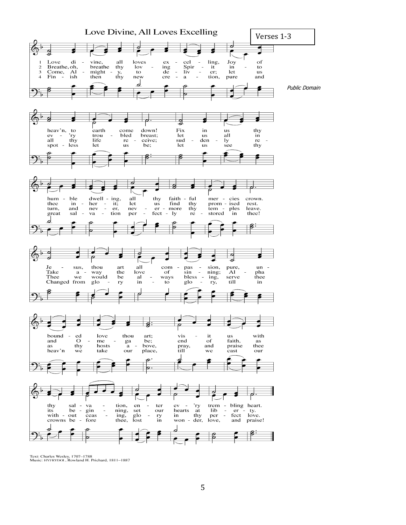

Text: Charles Wesley, 1707-1788<br>Music: HYFRYDOL, Rowland H. Prichard, 1811-1887